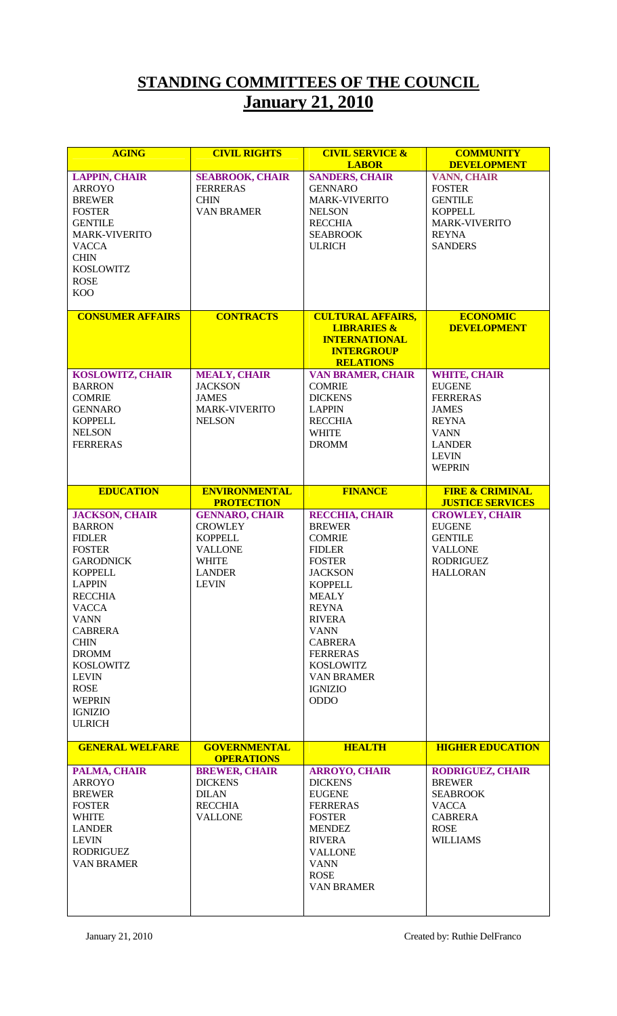## **STANDING COMMITTEES OF THE COUNCIL January 21, 2010**

| <b>AGING</b>                                                                                                                                                                                                                                                                                                                             | <b>CIVIL RIGHTS</b>                                                                                                          | <b>CIVIL SERVICE &amp;</b><br><b>LABOR</b>                                                                                                                                                                                                                                                                   | <b>COMMUNITY</b><br><b>DEVELOPMENT</b>                                                                                                                   |
|------------------------------------------------------------------------------------------------------------------------------------------------------------------------------------------------------------------------------------------------------------------------------------------------------------------------------------------|------------------------------------------------------------------------------------------------------------------------------|--------------------------------------------------------------------------------------------------------------------------------------------------------------------------------------------------------------------------------------------------------------------------------------------------------------|----------------------------------------------------------------------------------------------------------------------------------------------------------|
| <b>LAPPIN, CHAIR</b><br><b>ARROYO</b><br><b>BREWER</b><br><b>FOSTER</b><br><b>GENTILE</b><br><b>MARK-VIVERITO</b><br><b>VACCA</b><br><b>CHIN</b><br><b>KOSLOWITZ</b><br><b>ROSE</b><br><b>KOO</b>                                                                                                                                        | <b>SEABROOK, CHAIR</b><br><b>FERRERAS</b><br><b>CHIN</b><br><b>VAN BRAMER</b>                                                | <b>SANDERS, CHAIR</b><br><b>GENNARO</b><br><b>MARK-VIVERITO</b><br><b>NELSON</b><br><b>RECCHIA</b><br><b>SEABROOK</b><br><b>ULRICH</b>                                                                                                                                                                       | <b>VANN, CHAIR</b><br><b>FOSTER</b><br><b>GENTILE</b><br><b>KOPPELL</b><br><b>MARK-VIVERITO</b><br><b>REYNA</b><br><b>SANDERS</b>                        |
| <b>CONSUMER AFFAIRS</b>                                                                                                                                                                                                                                                                                                                  | <b>CONTRACTS</b>                                                                                                             | <b>CULTURAL AFFAIRS,</b><br><b>LIBRARIES &amp;</b><br><b>INTERNATIONAL</b><br><b>INTERGROUP</b><br><b>RELATIONS</b>                                                                                                                                                                                          | <b>ECONOMIC</b><br><b>DEVELOPMENT</b>                                                                                                                    |
| <b>KOSLOWITZ, CHAIR</b><br><b>BARRON</b><br><b>COMRIE</b><br><b>GENNARO</b><br><b>KOPPELL</b><br><b>NELSON</b><br><b>FERRERAS</b>                                                                                                                                                                                                        | <b>MEALY, CHAIR</b><br><b>JACKSON</b><br><b>JAMES</b><br><b>MARK-VIVERITO</b><br><b>NELSON</b>                               | <b>VAN BRAMER, CHAIR</b><br><b>COMRIE</b><br><b>DICKENS</b><br><b>LAPPIN</b><br><b>RECCHIA</b><br><b>WHITE</b><br><b>DROMM</b>                                                                                                                                                                               | <b>WHITE, CHAIR</b><br><b>EUGENE</b><br><b>FERRERAS</b><br><b>JAMES</b><br><b>REYNA</b><br><b>VANN</b><br><b>LANDER</b><br><b>LEVIN</b><br><b>WEPRIN</b> |
| <b>EDUCATION</b>                                                                                                                                                                                                                                                                                                                         | <b>ENVIRONMENTAL</b><br><b>PROTECTION</b>                                                                                    | <b>FINANCE</b>                                                                                                                                                                                                                                                                                               | <b>FIRE &amp; CRIMINAL</b><br><b>JUSTICE SERVICES</b>                                                                                                    |
| <b>JACKSON, CHAIR</b><br><b>BARRON</b><br><b>FIDLER</b><br><b>FOSTER</b><br><b>GARODNICK</b><br><b>KOPPELL</b><br><b>LAPPIN</b><br><b>RECCHIA</b><br><b>VACCA</b><br><b>VANN</b><br><b>CABRERA</b><br><b>CHIN</b><br><b>DROMM</b><br><b>KOSLOWITZ</b><br><b>LEVIN</b><br><b>ROSE</b><br><b>WEPRIN</b><br><b>IGNIZIO</b><br><b>ULRICH</b> | <b>GENNARO, CHAIR</b><br><b>CROWLEY</b><br><b>KOPPELL</b><br><b>VALLONE</b><br><b>WHITE</b><br><b>LANDER</b><br><b>LEVIN</b> | <b>RECCHIA, CHAIR</b><br><b>BREWER</b><br><b>COMRIE</b><br><b>FIDLER</b><br><b>FOSTER</b><br><b>JACKSON</b><br><b>KOPPELL</b><br><b>MEALY</b><br><b>REYNA</b><br><b>RIVERA</b><br><b>VANN</b><br><b>CABRERA</b><br><b>FERRERAS</b><br><b>KOSLOWITZ</b><br><b>VAN BRAMER</b><br><b>IGNIZIO</b><br><b>ODDO</b> | <b>CROWLEY, CHAIR</b><br><b>EUGENE</b><br><b>GENTILE</b><br><b>VALLONE</b><br><b>RODRIGUEZ</b><br><b>HALLORAN</b>                                        |
| <b>GENERAL WELFARE</b>                                                                                                                                                                                                                                                                                                                   | <b>GOVERNMENTAL</b><br><b>OPERATIONS</b>                                                                                     | <b>HEALTH</b>                                                                                                                                                                                                                                                                                                | <b>HIGHER EDUCATION</b>                                                                                                                                  |
| PALMA, CHAIR<br><b>ARROYO</b><br><b>BREWER</b><br><b>FOSTER</b><br><b>WHITE</b><br><b>LANDER</b><br><b>LEVIN</b><br><b>RODRIGUEZ</b><br><b>VAN BRAMER</b>                                                                                                                                                                                | <b>BREWER, CHAIR</b><br><b>DICKENS</b><br><b>DILAN</b><br><b>RECCHIA</b><br><b>VALLONE</b>                                   | <b>ARROYO, CHAIR</b><br><b>DICKENS</b><br><b>EUGENE</b><br><b>FERRERAS</b><br><b>FOSTER</b><br><b>MENDEZ</b><br><b>RIVERA</b><br><b>VALLONE</b><br><b>VANN</b><br><b>ROSE</b><br><b>VAN BRAMER</b>                                                                                                           | <b>RODRIGUEZ, CHAIR</b><br><b>BREWER</b><br><b>SEABROOK</b><br><b>VACCA</b><br><b>CABRERA</b><br><b>ROSE</b><br><b>WILLIAMS</b>                          |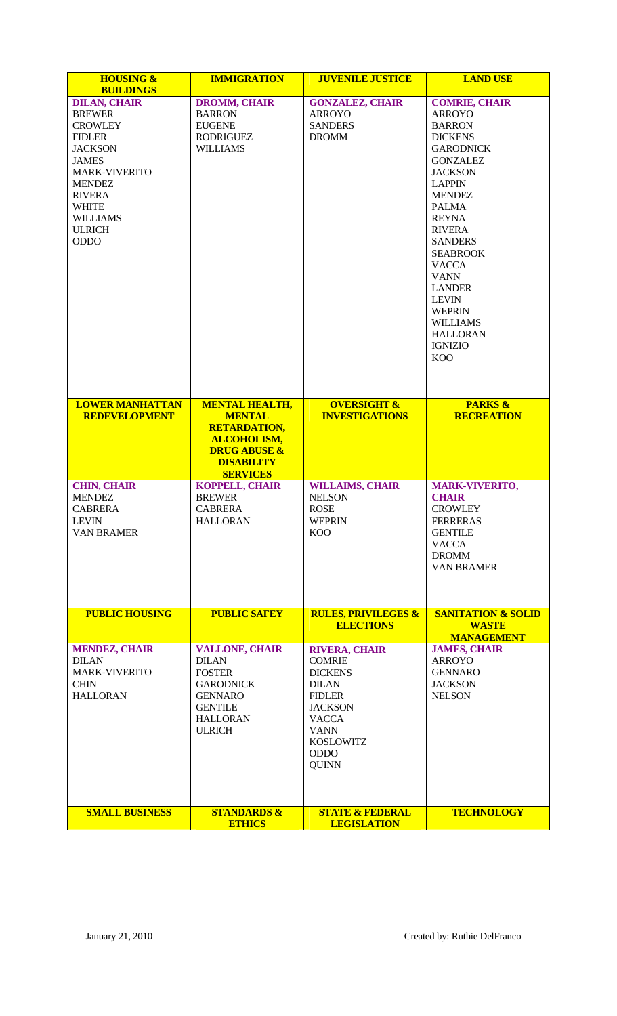| <b>HOUSING &amp;</b><br><b>BUILDINGS</b>                                                                                                                                                                                               | <b>IMMIGRATION</b>                                                                                                                                     | <b>JUVENILE JUSTICE</b>                                                                                                                                                                      | <b>LAND USE</b>                                                                                                                                                                                                                                                                                                                                                                                                  |
|----------------------------------------------------------------------------------------------------------------------------------------------------------------------------------------------------------------------------------------|--------------------------------------------------------------------------------------------------------------------------------------------------------|----------------------------------------------------------------------------------------------------------------------------------------------------------------------------------------------|------------------------------------------------------------------------------------------------------------------------------------------------------------------------------------------------------------------------------------------------------------------------------------------------------------------------------------------------------------------------------------------------------------------|
| <b>DILAN, CHAIR</b><br><b>BREWER</b><br><b>CROWLEY</b><br><b>FIDLER</b><br><b>JACKSON</b><br><b>JAMES</b><br><b>MARK-VIVERITO</b><br><b>MENDEZ</b><br><b>RIVERA</b><br><b>WHITE</b><br><b>WILLIAMS</b><br><b>ULRICH</b><br><b>ODDO</b> | <b>DROMM, CHAIR</b><br><b>BARRON</b><br><b>EUGENE</b><br><b>RODRIGUEZ</b><br>WILLIAMS                                                                  | <b>GONZALEZ, CHAIR</b><br><b>ARROYO</b><br><b>SANDERS</b><br><b>DROMM</b>                                                                                                                    | <b>COMRIE, CHAIR</b><br><b>ARROYO</b><br><b>BARRON</b><br><b>DICKENS</b><br><b>GARODNICK</b><br><b>GONZALEZ</b><br><b>JACKSON</b><br><b>LAPPIN</b><br><b>MENDEZ</b><br><b>PALMA</b><br><b>REYNA</b><br><b>RIVERA</b><br><b>SANDERS</b><br><b>SEABROOK</b><br><b>VACCA</b><br><b>VANN</b><br><b>LANDER</b><br><b>LEVIN</b><br><b>WEPRIN</b><br><b>WILLIAMS</b><br><b>HALLORAN</b><br><b>IGNIZIO</b><br><b>KOO</b> |
| <b>LOWER MANHATTAN</b><br><b>REDEVELOPMENT</b>                                                                                                                                                                                         | <b>MENTAL HEALTH,</b><br><b>MENTAL</b><br><b>RETARDATION,</b><br><b>ALCOHOLISM,</b><br><b>DRUG ABUSE &amp;</b><br><b>DISABILITY</b><br><b>SERVICES</b> | <b>OVERSIGHT &amp;</b><br><b>INVESTIGATIONS</b>                                                                                                                                              | <b>PARKS &amp;</b><br><b>RECREATION</b>                                                                                                                                                                                                                                                                                                                                                                          |
| <b>CHIN, CHAIR</b><br><b>MENDEZ</b><br><b>CABRERA</b><br><b>LEVIN</b><br><b>VAN BRAMER</b>                                                                                                                                             | <b>KOPPELL, CHAIR</b><br><b>BREWER</b><br><b>CABRERA</b><br><b>HALLORAN</b>                                                                            | <b>WILLAIMS, CHAIR</b><br><b>NELSON</b><br><b>ROSE</b><br><b>WEPRIN</b><br><b>KOO</b>                                                                                                        | <b>MARK-VIVERITO,</b><br><b>CHAIR</b><br><b>CROWLEY</b><br><b>FERRERAS</b><br><b>GENTILE</b><br><b>VACCA</b><br><b>DROMM</b><br><b>VAN BRAMER</b>                                                                                                                                                                                                                                                                |
| <b>PUBLIC HOUSING</b>                                                                                                                                                                                                                  | <b>PUBLIC SAFEY</b>                                                                                                                                    | <b>RULES, PRIVILEGES &amp;</b><br><b>ELECTIONS</b>                                                                                                                                           | <b>SANITATION &amp; SOLID</b><br><b>WASTE</b>                                                                                                                                                                                                                                                                                                                                                                    |
| <b>MENDEZ, CHAIR</b><br><b>DILAN</b><br><b>MARK-VIVERITO</b><br><b>CHIN</b><br><b>HALLORAN</b>                                                                                                                                         | <b>VALLONE, CHAIR</b><br><b>DILAN</b><br><b>FOSTER</b><br><b>GARODNICK</b><br><b>GENNARO</b><br><b>GENTILE</b><br><b>HALLORAN</b><br><b>ULRICH</b>     | <b>RIVERA, CHAIR</b><br><b>COMRIE</b><br><b>DICKENS</b><br><b>DILAN</b><br><b>FIDLER</b><br><b>JACKSON</b><br><b>VACCA</b><br><b>VANN</b><br><b>KOSLOWITZ</b><br><b>ODDO</b><br><b>QUINN</b> | <b>MANAGEMENT</b><br><b>JAMES, CHAIR</b><br><b>ARROYO</b><br><b>GENNARO</b><br><b>JACKSON</b><br><b>NELSON</b>                                                                                                                                                                                                                                                                                                   |
| <b>SMALL BUSINESS</b>                                                                                                                                                                                                                  | <b>STANDARDS &amp;</b><br><b>ETHICS</b>                                                                                                                | <b>STATE &amp; FEDERAL</b><br><b>LEGISLATION</b>                                                                                                                                             | <b>TECHNOLOGY</b>                                                                                                                                                                                                                                                                                                                                                                                                |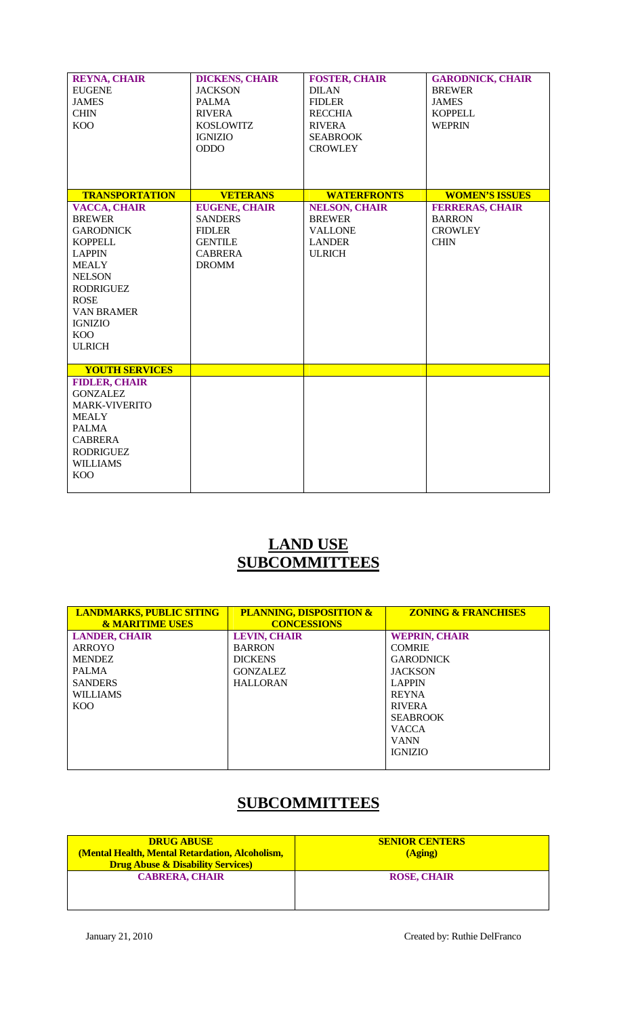| <b>REYNA, CHAIR</b><br><b>EUGENE</b><br><b>JAMES</b><br><b>CHIN</b><br><b>KOO</b>                                                                                                                                                     | <b>DICKENS, CHAIR</b><br><b>JACKSON</b><br><b>PALMA</b><br><b>RIVERA</b><br><b>KOSLOWITZ</b><br><b>IGNIZIO</b><br><b>ODDO</b> | <b>FOSTER, CHAIR</b><br><b>DILAN</b><br><b>FIDLER</b><br><b>RECCHIA</b><br><b>RIVERA</b><br><b>SEABROOK</b><br><b>CROWLEY</b> | <b>GARODNICK, CHAIR</b><br><b>BREWER</b><br><b>JAMES</b><br><b>KOPPELL</b><br><b>WEPRIN</b> |
|---------------------------------------------------------------------------------------------------------------------------------------------------------------------------------------------------------------------------------------|-------------------------------------------------------------------------------------------------------------------------------|-------------------------------------------------------------------------------------------------------------------------------|---------------------------------------------------------------------------------------------|
| <b>TRANSPORTATION</b>                                                                                                                                                                                                                 | <b>VETERANS</b>                                                                                                               | <b>WATERFRONTS</b>                                                                                                            | <b>WOMEN'S ISSUES</b>                                                                       |
| <b>VACCA, CHAIR</b><br><b>BREWER</b><br><b>GARODNICK</b><br><b>KOPPELL</b><br><b>LAPPIN</b><br><b>MEALY</b><br><b>NELSON</b><br><b>RODRIGUEZ</b><br><b>ROSE</b><br><b>VAN BRAMER</b><br><b>IGNIZIO</b><br><b>KOO</b><br><b>ULRICH</b> | <b>EUGENE, CHAIR</b><br><b>SANDERS</b><br><b>FIDLER</b><br><b>GENTILE</b><br><b>CABRERA</b><br><b>DROMM</b>                   | <b>NELSON, CHAIR</b><br><b>BREWER</b><br><b>VALLONE</b><br><b>LANDER</b><br><b>ULRICH</b>                                     | <b>FERRERAS, CHAIR</b><br><b>BARRON</b><br><b>CROWLEY</b><br><b>CHIN</b>                    |
| <b>YOUTH SERVICES</b>                                                                                                                                                                                                                 |                                                                                                                               |                                                                                                                               |                                                                                             |
| <b>FIDLER, CHAIR</b><br><b>GONZALEZ</b><br><b>MARK-VIVERITO</b><br><b>MEALY</b><br><b>PALMA</b><br><b>CABRERA</b><br><b>RODRIGUEZ</b><br><b>WILLIAMS</b><br><b>KOO</b>                                                                |                                                                                                                               |                                                                                                                               |                                                                                             |

## **LAND USE SUBCOMMITTEES**

| <b>LANDMARKS, PUBLIC SITING</b><br><b>&amp; MARITIME USES</b> | <b>PLANNING, DISPOSITION &amp;</b><br><b>CONCESSIONS</b> | <b>ZONING &amp; FRANCHISES</b> |
|---------------------------------------------------------------|----------------------------------------------------------|--------------------------------|
| <b>LANDER, CHAIR</b>                                          | <b>LEVIN, CHAIR</b>                                      | <b>WEPRIN, CHAIR</b>           |
| ARROYO                                                        | <b>BARRON</b>                                            | <b>COMRIE</b>                  |
| <b>MENDEZ</b>                                                 | <b>DICKENS</b>                                           | <b>GARODNICK</b>               |
| <b>PALMA</b>                                                  | <b>GONZALEZ</b>                                          | <b>JACKSON</b>                 |
| <b>SANDERS</b>                                                | <b>HALLORAN</b>                                          | <b>LAPPIN</b>                  |
| <b>WILLIAMS</b>                                               |                                                          | <b>REYNA</b>                   |
| K <sub>O</sub> O                                              |                                                          | <b>RIVERA</b>                  |
|                                                               |                                                          | <b>SEABROOK</b>                |
|                                                               |                                                          | <b>VACCA</b>                   |
|                                                               |                                                          | <b>VANN</b>                    |
|                                                               |                                                          | <b>IGNIZIO</b>                 |
|                                                               |                                                          |                                |

## **SUBCOMMITTEES**

| <b>DRUG ABUSE</b><br>(Mental Health, Mental Retardation, Alcoholism,<br><b>Drug Abuse &amp; Disability Services</b> | <b>SENIOR CENTERS</b><br>(Aging) |
|---------------------------------------------------------------------------------------------------------------------|----------------------------------|
| <b>CABRERA, CHAIR</b>                                                                                               | <b>ROSE, CHAIR</b>               |